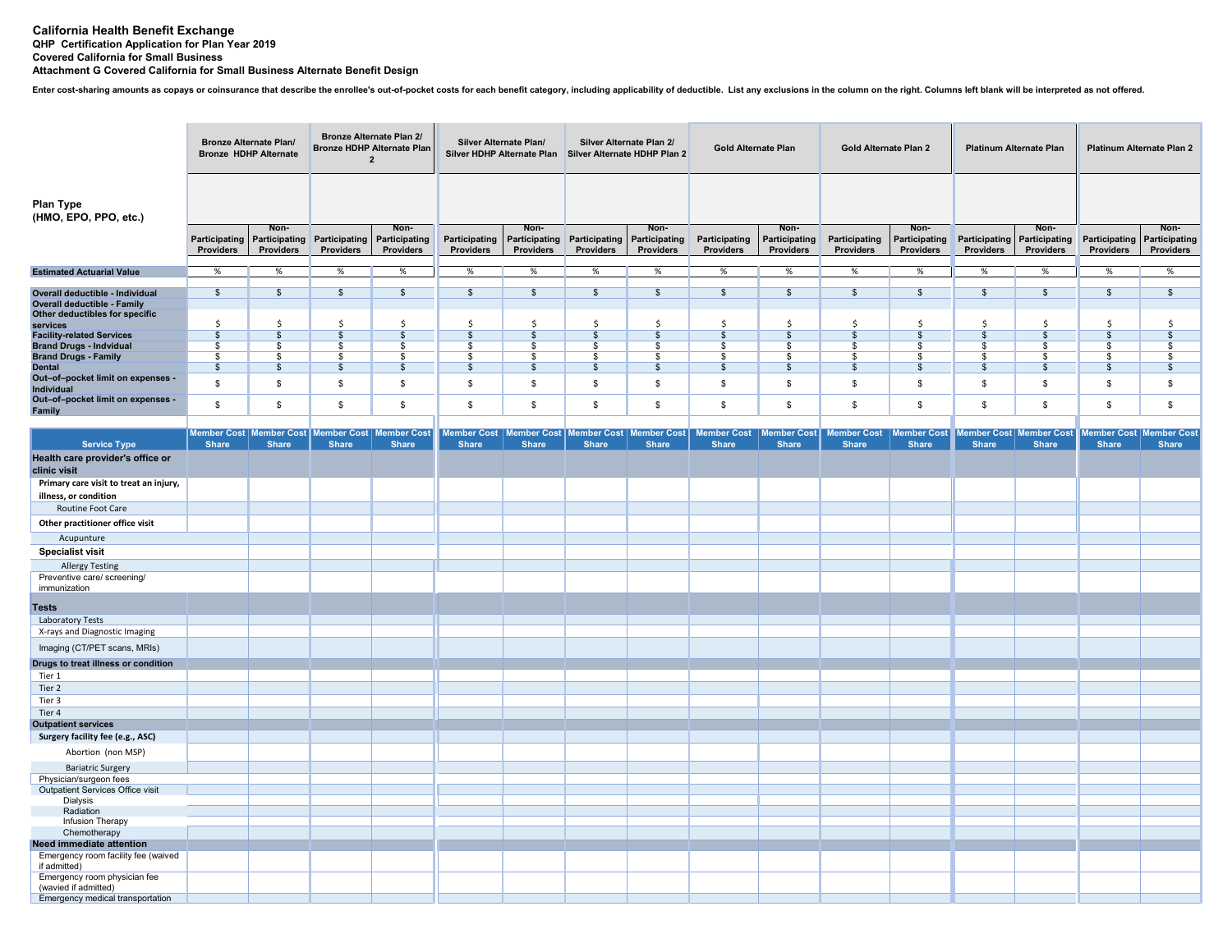## **California Health Benefit Exchange QHP Certification Application for Plan Year 2019 Covered California for Small BusinessAttachment G Covered California for Small Business Alternate Benefit Design**

Enter cost-sharing amounts as copays or coinsurance that describe the enrollee's out-of-pocket costs for each benefit category, including applicability of deductible. List any exclusions in the column on the right. Columns

|                                                                 | <b>Bronze Alternate Plan/</b><br><b>Bronze HDHP Alternate</b> |                                                    | <b>Bronze Alternate Plan 2/</b><br><b>Bronze HDHP Alternate Plan</b><br>$\overline{2}$ |                                    | Silver Alternate Plan/<br>Silver HDHP Alternate Plan |                                                           | Silver Alternate Plan 2/<br>Silver Alternate HDHP Plan 2 |                                    | <b>Gold Alternate Plan</b>         |                                    | Gold Alternate Plan 2       |                                           | <b>Platinum Alternate Plan</b> |                                                  | Platinum Alternate Plan 2          |                                    |  |
|-----------------------------------------------------------------|---------------------------------------------------------------|----------------------------------------------------|----------------------------------------------------------------------------------------|------------------------------------|------------------------------------------------------|-----------------------------------------------------------|----------------------------------------------------------|------------------------------------|------------------------------------|------------------------------------|-----------------------------|-------------------------------------------|--------------------------------|--------------------------------------------------|------------------------------------|------------------------------------|--|
| Plan Type<br>(HMO, EPO, PPO, etc.)                              |                                                               |                                                    |                                                                                        |                                    |                                                      |                                                           |                                                          |                                    |                                    |                                    |                             |                                           |                                |                                                  |                                    |                                    |  |
|                                                                 | Participating<br>Providers                                    | Non-<br>Participating<br>Providers                 | Participating<br>Providers                                                             | Non-<br>Participating<br>Providers | Participating<br>Providers                           | Non-<br>Participating<br>Providers                        | Participating<br>Providers                               | Non-<br>Participating<br>Providers | Participating<br>Providers         | Non-<br>Participating<br>Providers | Participating<br>Providers  | Non-<br>Participating<br><b>Providers</b> | Participating<br>Providers     | Non-<br>Participating<br>Providers               | Participating<br>Providers         | Non-<br>Participating<br>Providers |  |
| <b>Estimated Actuarial Value</b>                                | %                                                             | %                                                  | %                                                                                      | %                                  | %                                                    | %                                                         | %                                                        | %                                  | %                                  | %                                  | %                           | %                                         | %                              | %                                                | %                                  | %                                  |  |
| Overall deductible - Individual<br>Overall deductible - Family  | \$                                                            | $\frac{1}{2}$                                      | \$                                                                                     | \$                                 | \$                                                   | $\frac{1}{2}$                                             | \$                                                       | $\mathfrak s$                      | \$                                 | \$                                 | \$                          | \$                                        | $\mathfrak s$                  | \$                                               | $\mathfrak s$                      | \$                                 |  |
| Other deductibles for specific<br>services                      | \$                                                            | Ś                                                  | Ŝ                                                                                      |                                    | S.                                                   | \$                                                        | Ŝ                                                        | S.                                 | .s                                 | .S                                 | Ś                           |                                           | Ś                              |                                                  | Ś                                  |                                    |  |
| <b>Facility-related Services</b>                                | $\sqrt{2}$                                                    | $\overline{\mathcal{S}}$                           | $\mathbb{S}$                                                                           | $\mathbf{s}$                       | $\overline{\mathcal{S}}$                             | $\overline{s}$                                            | $\overline{\mathcal{S}}$                                 | $\overline{\mathcal{S}}$           | \$                                 | $\mathsf{s}$                       | $\mathfrak{s}$              | $\sqrt{3}$                                | $\mathfrak{s}$                 | \$                                               | $\sqrt[6]{3}$                      | \$                                 |  |
| <b>Brand Drugs - Indvidual</b>                                  | \$                                                            | \$                                                 | \$                                                                                     | \$                                 | \$                                                   | \$                                                        | \$                                                       | \$                                 | \$                                 | \$                                 | \$                          | \$                                        | \$                             | \$                                               | \$                                 | \$                                 |  |
| <b>Brand Drugs - Family</b><br><b>Dental</b>                    | \$<br>\$                                                      | \$<br>$\mathbb{S}$                                 | \$<br>\$                                                                               | \$<br>$\mathbf{\hat{s}}$           | \$<br>$\sqrt{3}$                                     | \$<br>$\sqrt{3}$                                          | \$<br>$\sqrt{3}$                                         | \$<br>\$                           | \$<br>\$                           | \$<br>$\mathbb{S}$                 | \$<br>$\mathfrak{s}$        | \$<br>\$                                  | \$<br>\$                       | \$<br>\$                                         | \$<br>\$                           | -S<br>$\mathbb{S}$                 |  |
| Out-of-pocket limit on expenses -<br>Individual                 | \$                                                            | \$                                                 | \$                                                                                     | \$                                 | \$                                                   | \$                                                        | \$                                                       | \$                                 | \$                                 | \$                                 | \$                          | \$                                        | \$                             | \$                                               | \$                                 | \$                                 |  |
| Out-of-pocket limit on expenses -<br>Family                     | \$                                                            | \$                                                 | \$                                                                                     | \$                                 | \$                                                   | $\mathbb{S}$                                              | \$                                                       | \$                                 | \$                                 | \$                                 | $\mathbb{S}$                | \$                                        | \$                             | \$                                               | \$                                 | \$                                 |  |
|                                                                 |                                                               |                                                    |                                                                                        |                                    |                                                      |                                                           |                                                          |                                    |                                    |                                    |                             |                                           |                                |                                                  |                                    |                                    |  |
| <b>Service Type</b>                                             | Share                                                         | Member Cost   Member Cost   Member Cost  <br>Share | <b>Share</b>                                                                           | <b>Member Cost</b><br><b>Share</b> | <b>Share</b>                                         | Member Cost   Member Cost   Member Cost  <br><b>Share</b> | <b>Share</b>                                             | <b>Member Cost</b><br>Share        | <b>Member Cost</b><br><b>Share</b> | <b>Member Cost</b><br><b>Share</b> | <b>Member Cost</b><br>Share | <b>Member Cost</b><br>Share               | Share                          | <b>Member Cost   Member Cost</b><br><b>Share</b> | <b>Member Cost</b><br><b>Share</b> | <b>Member Cost</b><br><b>Share</b> |  |
| Health care provider's office or<br>clinic visit                |                                                               |                                                    |                                                                                        |                                    |                                                      |                                                           |                                                          |                                    |                                    |                                    |                             |                                           |                                |                                                  |                                    |                                    |  |
| Primary care visit to treat an injury,<br>illness, or condition |                                                               |                                                    |                                                                                        |                                    |                                                      |                                                           |                                                          |                                    |                                    |                                    |                             |                                           |                                |                                                  |                                    |                                    |  |
| Routine Foot Care                                               |                                                               |                                                    |                                                                                        |                                    |                                                      |                                                           |                                                          |                                    |                                    |                                    |                             |                                           |                                |                                                  |                                    |                                    |  |
| Other practitioner office visit                                 |                                                               |                                                    |                                                                                        |                                    |                                                      |                                                           |                                                          |                                    |                                    |                                    |                             |                                           |                                |                                                  |                                    |                                    |  |
| Acupunture                                                      |                                                               |                                                    |                                                                                        |                                    |                                                      |                                                           |                                                          |                                    |                                    |                                    |                             |                                           |                                |                                                  |                                    |                                    |  |
| <b>Specialist visit</b>                                         |                                                               |                                                    |                                                                                        |                                    |                                                      |                                                           |                                                          |                                    |                                    |                                    |                             |                                           |                                |                                                  |                                    |                                    |  |
| <b>Allergy Testing</b>                                          |                                                               |                                                    |                                                                                        |                                    |                                                      |                                                           |                                                          |                                    |                                    |                                    |                             |                                           |                                |                                                  |                                    |                                    |  |
| Preventive care/ screening/<br>immunization                     |                                                               |                                                    |                                                                                        |                                    |                                                      |                                                           |                                                          |                                    |                                    |                                    |                             |                                           |                                |                                                  |                                    |                                    |  |
| <b>Tests</b>                                                    |                                                               |                                                    |                                                                                        |                                    |                                                      |                                                           |                                                          |                                    |                                    |                                    |                             |                                           |                                |                                                  |                                    |                                    |  |
| Laboratory Tests<br>X-rays and Diagnostic Imaging               |                                                               |                                                    |                                                                                        |                                    |                                                      |                                                           |                                                          |                                    |                                    |                                    |                             |                                           |                                |                                                  |                                    |                                    |  |
| Imaging (CT/PET scans, MRIs)                                    |                                                               |                                                    |                                                                                        |                                    |                                                      |                                                           |                                                          |                                    |                                    |                                    |                             |                                           |                                |                                                  |                                    |                                    |  |
| Drugs to treat illness or condition                             |                                                               |                                                    |                                                                                        |                                    |                                                      |                                                           |                                                          |                                    |                                    |                                    |                             |                                           |                                |                                                  |                                    |                                    |  |
| Tier 1                                                          |                                                               |                                                    |                                                                                        |                                    |                                                      |                                                           |                                                          |                                    |                                    |                                    |                             |                                           |                                |                                                  |                                    |                                    |  |
| Tier 2                                                          |                                                               |                                                    |                                                                                        |                                    |                                                      |                                                           |                                                          |                                    |                                    |                                    |                             |                                           |                                |                                                  |                                    |                                    |  |
| Tier 3                                                          |                                                               |                                                    |                                                                                        |                                    |                                                      |                                                           |                                                          |                                    |                                    |                                    |                             |                                           |                                |                                                  |                                    |                                    |  |
| Tier 4<br><b>Outpatient services</b>                            |                                                               |                                                    |                                                                                        |                                    |                                                      |                                                           |                                                          |                                    |                                    |                                    |                             |                                           |                                |                                                  |                                    |                                    |  |
| Surgery facility fee (e.g., ASC)                                |                                                               |                                                    |                                                                                        |                                    |                                                      |                                                           |                                                          |                                    |                                    |                                    |                             |                                           |                                |                                                  |                                    |                                    |  |
| Abortion (non MSP)                                              |                                                               |                                                    |                                                                                        |                                    |                                                      |                                                           |                                                          |                                    |                                    |                                    |                             |                                           |                                |                                                  |                                    |                                    |  |
| <b>Bariatric Surgery</b>                                        |                                                               |                                                    |                                                                                        |                                    |                                                      |                                                           |                                                          |                                    |                                    |                                    |                             |                                           |                                |                                                  |                                    |                                    |  |
| Physician/surgeon fees                                          |                                                               |                                                    |                                                                                        |                                    |                                                      |                                                           |                                                          |                                    |                                    |                                    |                             |                                           |                                |                                                  |                                    |                                    |  |
| Outpatient Services Office visit                                |                                                               |                                                    |                                                                                        |                                    |                                                      |                                                           |                                                          |                                    |                                    |                                    |                             |                                           |                                |                                                  |                                    |                                    |  |
| Dialysis<br>Radiation                                           |                                                               |                                                    |                                                                                        |                                    |                                                      |                                                           |                                                          |                                    |                                    |                                    |                             |                                           |                                |                                                  |                                    |                                    |  |
| Infusion Therapy                                                |                                                               |                                                    |                                                                                        |                                    |                                                      |                                                           |                                                          |                                    |                                    |                                    |                             |                                           |                                |                                                  |                                    |                                    |  |
| Chemotherapy                                                    |                                                               |                                                    |                                                                                        |                                    |                                                      |                                                           |                                                          |                                    |                                    |                                    |                             |                                           |                                |                                                  |                                    |                                    |  |
| Need immediate attention<br>Emergency room facility fee (waived |                                                               |                                                    |                                                                                        |                                    |                                                      |                                                           |                                                          |                                    |                                    |                                    |                             |                                           |                                |                                                  |                                    |                                    |  |
| if admitted)<br>Emergency room physician fee                    |                                                               |                                                    |                                                                                        |                                    |                                                      |                                                           |                                                          |                                    |                                    |                                    |                             |                                           |                                |                                                  |                                    |                                    |  |
| (wavied if admitted)                                            |                                                               |                                                    |                                                                                        |                                    |                                                      |                                                           |                                                          |                                    |                                    |                                    |                             |                                           |                                |                                                  |                                    |                                    |  |
| Emergency medical transportation                                |                                                               |                                                    |                                                                                        |                                    |                                                      |                                                           |                                                          |                                    |                                    |                                    |                             |                                           |                                |                                                  |                                    |                                    |  |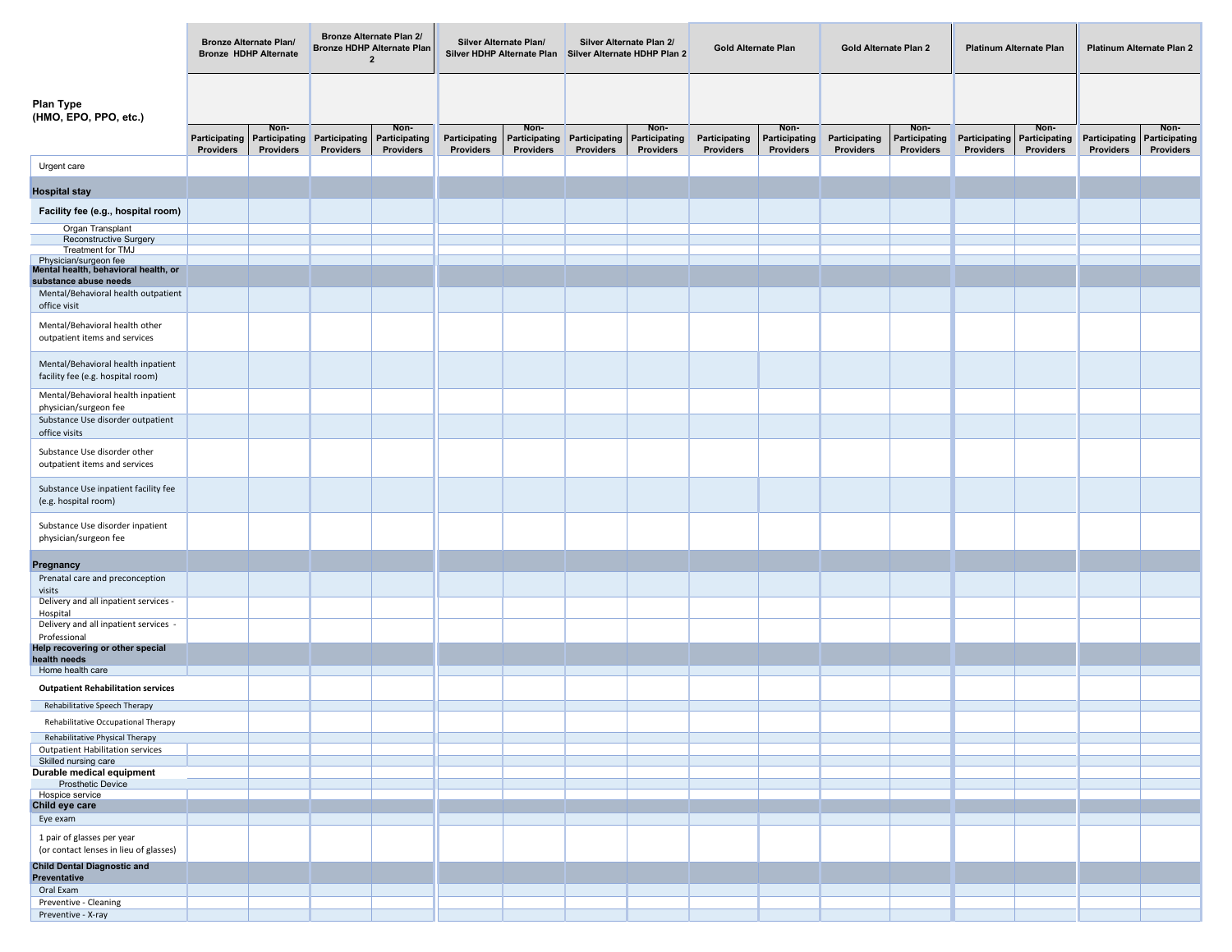|                                                                            | <b>Bronze Alternate Plan/</b><br><b>Bronze HDHP Alternate</b> |                            | <b>Bronze Alternate Plan 2/</b><br><b>Bronze HDHP Alternate Plan</b><br>$\overline{2}$ |                                   | Silver Alternate Plan/<br>Silver HDHP Alternate Plan |                                   | Silver Alternate Plan 2/<br>Silver Alternate HDHP Plan 2 |                            | <b>Gold Alternate Plan</b> |                                   | Gold Alternate Plan 2      |                            | <b>Platinum Alternate Plan</b> |                                   | Platinum Alternate Plan 2                       |           |
|----------------------------------------------------------------------------|---------------------------------------------------------------|----------------------------|----------------------------------------------------------------------------------------|-----------------------------------|------------------------------------------------------|-----------------------------------|----------------------------------------------------------|----------------------------|----------------------------|-----------------------------------|----------------------------|----------------------------|--------------------------------|-----------------------------------|-------------------------------------------------|-----------|
| <b>Plan Type</b><br>(HMO, EPO, PPO, etc.)                                  | Non-                                                          |                            | Non-                                                                                   |                                   | Non-                                                 |                                   | Non-                                                     |                            | Non-                       |                                   | Non-                       |                            | Non-                           |                                   | Non-                                            |           |
|                                                                            | Participating<br>Providers                                    | Participating<br>Providers | Participating<br><b>Providers</b>                                                      | Participating<br><b>Providers</b> | Participating<br>Providers                           | Participating<br><b>Providers</b> | Participating<br><b>Providers</b>                        | Participating<br>Providers | Participating<br>Providers | Participating<br><b>Providers</b> | Participating<br>Providers | Participating<br>Providers | Participating<br>Providers     | Participating<br><b>Providers</b> | <b>Participating Participating</b><br>Providers | Providers |
| Urgent care                                                                |                                                               |                            |                                                                                        |                                   |                                                      |                                   |                                                          |                            |                            |                                   |                            |                            |                                |                                   |                                                 |           |
| <b>Hospital stay</b>                                                       |                                                               |                            |                                                                                        |                                   |                                                      |                                   |                                                          |                            |                            |                                   |                            |                            |                                |                                   |                                                 |           |
| Facility fee (e.g., hospital room)                                         |                                                               |                            |                                                                                        |                                   |                                                      |                                   |                                                          |                            |                            |                                   |                            |                            |                                |                                   |                                                 |           |
| Organ Transplant                                                           |                                                               |                            |                                                                                        |                                   |                                                      |                                   |                                                          |                            |                            |                                   |                            |                            |                                |                                   |                                                 |           |
| Reconstructive Surgery<br>Treatment for TMJ                                |                                                               |                            |                                                                                        |                                   |                                                      |                                   |                                                          |                            |                            |                                   |                            |                            |                                |                                   |                                                 |           |
| Physician/surgeon fee                                                      |                                                               |                            |                                                                                        |                                   |                                                      |                                   |                                                          |                            |                            |                                   |                            |                            |                                |                                   |                                                 |           |
| Mental health, behavioral health, or<br>substance abuse needs              |                                                               |                            |                                                                                        |                                   |                                                      |                                   |                                                          |                            |                            |                                   |                            |                            |                                |                                   |                                                 |           |
| Mental/Behavioral health outpatient                                        |                                                               |                            |                                                                                        |                                   |                                                      |                                   |                                                          |                            |                            |                                   |                            |                            |                                |                                   |                                                 |           |
| office visit                                                               |                                                               |                            |                                                                                        |                                   |                                                      |                                   |                                                          |                            |                            |                                   |                            |                            |                                |                                   |                                                 |           |
| Mental/Behavioral health other<br>outpatient items and services            |                                                               |                            |                                                                                        |                                   |                                                      |                                   |                                                          |                            |                            |                                   |                            |                            |                                |                                   |                                                 |           |
| Mental/Behavioral health inpatient<br>facility fee (e.g. hospital room)    |                                                               |                            |                                                                                        |                                   |                                                      |                                   |                                                          |                            |                            |                                   |                            |                            |                                |                                   |                                                 |           |
| Mental/Behavioral health inpatient<br>physician/surgeon fee                |                                                               |                            |                                                                                        |                                   |                                                      |                                   |                                                          |                            |                            |                                   |                            |                            |                                |                                   |                                                 |           |
| Substance Use disorder outpatient<br>office visits                         |                                                               |                            |                                                                                        |                                   |                                                      |                                   |                                                          |                            |                            |                                   |                            |                            |                                |                                   |                                                 |           |
| Substance Use disorder other<br>outpatient items and services              |                                                               |                            |                                                                                        |                                   |                                                      |                                   |                                                          |                            |                            |                                   |                            |                            |                                |                                   |                                                 |           |
| Substance Use inpatient facility fee<br>(e.g. hospital room)               |                                                               |                            |                                                                                        |                                   |                                                      |                                   |                                                          |                            |                            |                                   |                            |                            |                                |                                   |                                                 |           |
| Substance Use disorder inpatient<br>physician/surgeon fee                  |                                                               |                            |                                                                                        |                                   |                                                      |                                   |                                                          |                            |                            |                                   |                            |                            |                                |                                   |                                                 |           |
|                                                                            |                                                               |                            |                                                                                        |                                   |                                                      |                                   |                                                          |                            |                            |                                   |                            |                            |                                |                                   |                                                 |           |
| Pregnancy<br>Prenatal care and preconception                               |                                                               |                            |                                                                                        |                                   |                                                      |                                   |                                                          |                            |                            |                                   |                            |                            |                                |                                   |                                                 |           |
| visits<br>Delivery and all inpatient services -                            |                                                               |                            |                                                                                        |                                   |                                                      |                                   |                                                          |                            |                            |                                   |                            |                            |                                |                                   |                                                 |           |
| Hospital<br>Delivery and all inpatient services -                          |                                                               |                            |                                                                                        |                                   |                                                      |                                   |                                                          |                            |                            |                                   |                            |                            |                                |                                   |                                                 |           |
| Professional<br>Help recovering or other special                           |                                                               |                            |                                                                                        |                                   |                                                      |                                   |                                                          |                            |                            |                                   |                            |                            |                                |                                   |                                                 |           |
| health needs                                                               |                                                               |                            |                                                                                        |                                   |                                                      |                                   |                                                          |                            |                            |                                   |                            |                            |                                |                                   |                                                 |           |
| Home health care                                                           |                                                               |                            |                                                                                        |                                   |                                                      |                                   |                                                          |                            |                            |                                   |                            |                            |                                |                                   |                                                 |           |
| <b>Outpatient Rehabilitation services</b>                                  |                                                               |                            |                                                                                        |                                   |                                                      |                                   |                                                          |                            |                            |                                   |                            |                            |                                |                                   |                                                 |           |
| Rehabilitative Speech Therapy                                              |                                                               |                            |                                                                                        |                                   |                                                      |                                   |                                                          |                            |                            |                                   |                            |                            |                                |                                   |                                                 |           |
| Rehabilitative Occupational Therapy                                        |                                                               |                            |                                                                                        |                                   |                                                      |                                   |                                                          |                            |                            |                                   |                            |                            |                                |                                   |                                                 |           |
| Rehabilitative Physical Therapy<br><b>Outpatient Habilitation services</b> |                                                               |                            |                                                                                        |                                   |                                                      |                                   |                                                          |                            |                            |                                   |                            |                            |                                |                                   |                                                 |           |
| Skilled nursing care                                                       |                                                               |                            |                                                                                        |                                   |                                                      |                                   |                                                          |                            |                            |                                   |                            |                            |                                |                                   |                                                 |           |
| Durable medical equipment                                                  |                                                               |                            |                                                                                        |                                   |                                                      |                                   |                                                          |                            |                            |                                   |                            |                            |                                |                                   |                                                 |           |
| Prosthetic Device<br>Hospice service                                       |                                                               |                            |                                                                                        |                                   |                                                      |                                   |                                                          |                            |                            |                                   |                            |                            |                                |                                   |                                                 |           |
| Child eye care                                                             |                                                               |                            |                                                                                        |                                   |                                                      |                                   |                                                          |                            |                            |                                   |                            |                            |                                |                                   |                                                 |           |
| Eye exam                                                                   |                                                               |                            |                                                                                        |                                   |                                                      |                                   |                                                          |                            |                            |                                   |                            |                            |                                |                                   |                                                 |           |
| 1 pair of glasses per year<br>(or contact lenses in lieu of glasses)       |                                                               |                            |                                                                                        |                                   |                                                      |                                   |                                                          |                            |                            |                                   |                            |                            |                                |                                   |                                                 |           |
| <b>Child Dental Diagnostic and</b><br>Preventative                         |                                                               |                            |                                                                                        |                                   |                                                      |                                   |                                                          |                            |                            |                                   |                            |                            |                                |                                   |                                                 |           |
| Oral Exam                                                                  |                                                               |                            |                                                                                        |                                   |                                                      |                                   |                                                          |                            |                            |                                   |                            |                            |                                |                                   |                                                 |           |
| Preventive - Cleaning                                                      |                                                               |                            |                                                                                        |                                   |                                                      |                                   |                                                          |                            |                            |                                   |                            |                            |                                |                                   |                                                 |           |
| Preventive - X-ray                                                         |                                                               |                            |                                                                                        |                                   |                                                      |                                   |                                                          |                            |                            |                                   |                            |                            |                                |                                   |                                                 |           |